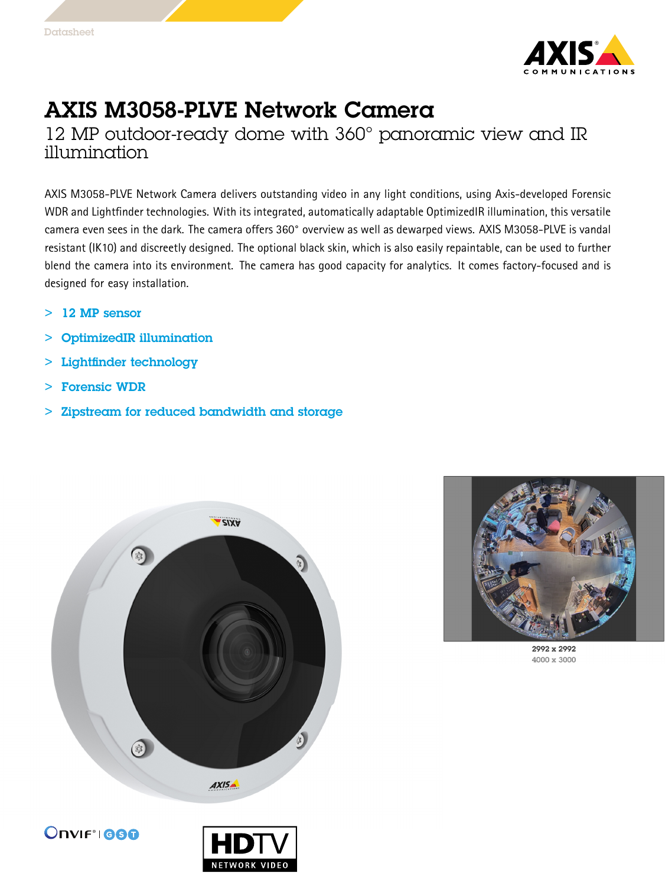

## AXIS M3058-PLVE Network Camera

12 MP outdoor-ready dome with 360° panoramic view and IR illumination

AXIS M3058-PLVE Network Camera delivers outstanding video in any light conditions, using Axis-developed Forensic WDR and Lightfinder technologies. With its integrated, automatically adaptable OptimizedIR illumination, this versatile camera even sees in the dark. The camera offers 360° overview as well as dewarped views. AXIS M3058-PLVE is vandal resistant (IK10) and discreetly designed. The optional black skin, which is also easily repaintable, can be used to further blend the camera into its environment. The camera has good capacity for analytics. It comes factory-focused and is designed for easy installation.

- > 12 MP sensor
- > OptimizedIR illumination
- > Lightfinder technology
	- >Forensic WDR
- > Zipstream for reduced bandwidth and storage





2992 x 2992 4000 x 3000



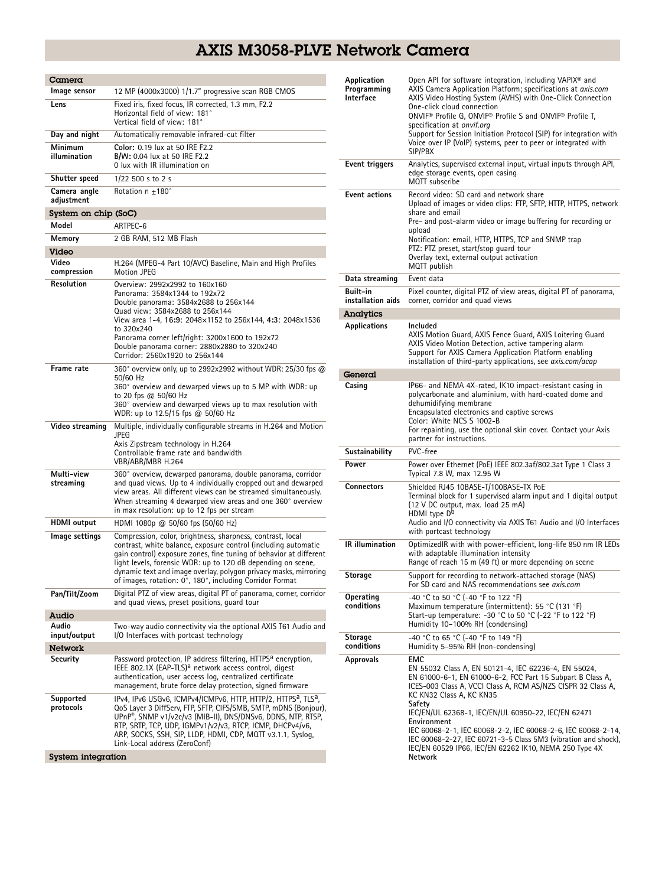## AXIS M3058-PLVE Network Camera

| Camera                     |                                                                                                                                                                                                                                                                                                                                                                                                    |  |
|----------------------------|----------------------------------------------------------------------------------------------------------------------------------------------------------------------------------------------------------------------------------------------------------------------------------------------------------------------------------------------------------------------------------------------------|--|
| lmage sensor               | 12 MP (4000x3000) 1/1.7" progressive scan RGB CMOS                                                                                                                                                                                                                                                                                                                                                 |  |
| Lens                       | Fixed iris, fixed focus, IR corrected, 1.3 mm, F2.2<br>Horizontal field of view: 181°<br>Vertical field of view: 181°                                                                                                                                                                                                                                                                              |  |
| Day and night              | Automatically removable infrared-cut filter                                                                                                                                                                                                                                                                                                                                                        |  |
| Minimum<br>illumination    | Color: 0.19 lux at 50 IRE F2.2<br><b>B/W:</b> 0.04 lux at 50 IRE F2.2<br>0 lux with IR illumination on                                                                                                                                                                                                                                                                                             |  |
| Shutter speed              | $1/22$ 500 s to 2 s                                                                                                                                                                                                                                                                                                                                                                                |  |
| Camera angle<br>adjustment | Rotation n ±180°                                                                                                                                                                                                                                                                                                                                                                                   |  |
| System on chip (SoC)       |                                                                                                                                                                                                                                                                                                                                                                                                    |  |
| Model                      | ARTPEC-6                                                                                                                                                                                                                                                                                                                                                                                           |  |
| Memory                     | 2 GB RAM, 512 MB Flash                                                                                                                                                                                                                                                                                                                                                                             |  |
| Video                      |                                                                                                                                                                                                                                                                                                                                                                                                    |  |
| Video<br>compression       | H.264 (MPEG-4 Part 10/AVC) Baseline, Main and High Profiles<br>Motion JPEG                                                                                                                                                                                                                                                                                                                         |  |
| Resolution                 | Overview: 2992x2992 to 160x160<br>Panorama: 3584x1344 to 192x72<br>Double panorama: 3584x2688 to 256x144<br>Quad view: 3584x2688 to 256x144<br>View area 1-4, 16:9: 2048x1152 to 256x144, 4:3: 2048x1536<br>to 320x240<br>Panorama corner left/right: 3200x1600 to 192x72<br>Double panorama corner: 2880x2880 to 320x240<br>Corridor: 2560x1920 to 256x144                                        |  |
| Frame rate                 | 360° overview only, up to 2992x2992 without WDR: 25/30 fps $@$<br>50/60 Hz<br>360° overview and dewarped views up to 5 MP with WDR: up<br>to 20 fps @ 50/60 Hz<br>360° overview and dewarped views up to max resolution with<br>WDR: up to 12.5/15 fps @ 50/60 Hz                                                                                                                                  |  |
| Video streaming            | Multiple, individually configurable streams in H.264 and Motion<br>JPEG<br>Axis Zipstream technology in H.264<br>Controllable frame rate and bandwidth<br>VBR/ABR/MBR H.264                                                                                                                                                                                                                        |  |
| Multi-view<br>streaminq    | 360° overview, dewarped panorama, double panorama, corridor<br>and quad views. Up to 4 individually cropped out and dewarped<br>view areas. All different views can be streamed simultaneously.<br>When streaming 4 dewarped view areas and one 360° overview<br>in max resolution: up to 12 fps per stream                                                                                        |  |
| HDMI output                | HDMI 1080p @ 50/60 fps (50/60 Hz)                                                                                                                                                                                                                                                                                                                                                                  |  |
| lmage settings             | Compression, color, brightness, sharpness, contrast, local<br>contrast, white balance, exposure control (including automatic<br>gain control) exposure zones, fine tuning of behavior at different<br>light levels, forensic WDR: up to 120 dB depending on scene,<br>dynamic text and image overlay, polygon privacy masks, mirroring<br>of images, rotation: 0°, 180°, including Corridor Format |  |
| Pan/Tilt/Zoom              | Digital PTZ of view areas, digital PT of panorama, corner, corridor<br>and quad views, preset positions, quard tour                                                                                                                                                                                                                                                                                |  |
| Audio                      |                                                                                                                                                                                                                                                                                                                                                                                                    |  |
| Audio<br>input/output      | Two-way audio connectivity via the optional AXIS T61 Audio and<br>I/O Interfaces with portcast technology                                                                                                                                                                                                                                                                                          |  |
| Network                    | Password protection, IP address filtering, HTTPS <sup>a</sup> encryption,                                                                                                                                                                                                                                                                                                                          |  |
| Security                   | IEEE 802.1X (EAP-TLS) <sup>a</sup> network access control, digest<br>authentication, user access log, centralized certificate<br>management, brute force delay protection, signed firmware                                                                                                                                                                                                         |  |
| Supported<br>protocols     | IPv4, IPv6 USGv6, ICMPv4/ICMPv6, HTTP, HTTP/2, HTTPS <sup>a</sup> , TLS <sup>a</sup> ,<br>QoS Layer 3 DiffServ, FTP, SFTP, CIFS/SMB, SMTP, mDNS (Bonjour),<br>UPnP®, SNMP v1/v2c/v3 (MIB-II), DNS/DNSv6, DDNS, NTP, RTSP,<br>RTP, SRTP, TCP, UDP, IGMPv1/v2/v3, RTCP, ICMP, DHCPv4/v6,<br>ARP, SOCKS, SSH, SIP, LLDP, HDMI, CDP, MQTT v3.1.1, Syslog,<br>Link-Local address (ZeroConf)             |  |
| System integration         |                                                                                                                                                                                                                                                                                                                                                                                                    |  |

| Application<br>Programming<br>Interface | Open API for software integration, including VAPIX <sup>®</sup> and<br>AXIS Camera Application Platform; specifications at axis.com<br>AXIS Video Hosting System (AVHS) with One-Click Connection<br>One-click cloud connection<br>ONVIF® Profile G, ONVIF® Profile S and ONVIF® Profile T,<br>specification at onvif.org<br>Support for Session Initiation Protocol (SIP) for integration with<br>Voice over IP (VoIP) systems, peer to peer or integrated with<br>SIP/PBX                                                |
|-----------------------------------------|----------------------------------------------------------------------------------------------------------------------------------------------------------------------------------------------------------------------------------------------------------------------------------------------------------------------------------------------------------------------------------------------------------------------------------------------------------------------------------------------------------------------------|
| Event triggers                          | Analytics, supervised external input, virtual inputs through API,<br>edge storage events, open casing<br>MOTT subscribe                                                                                                                                                                                                                                                                                                                                                                                                    |
| <b>Event actions</b>                    | Record video: SD card and network share<br>Upload of images or video clips: FTP, SFTP, HTTP, HTTPS, network<br>share and email<br>Pre- and post-alarm video or image buffering for recording or<br>upload<br>Notification: email, HTTP, HTTPS, TCP and SNMP trap<br>PTZ: PTZ preset, start/stop guard tour<br>Overlay text, external output activation<br>MQTT publish                                                                                                                                                     |
| Data streaming                          | Event data                                                                                                                                                                                                                                                                                                                                                                                                                                                                                                                 |
| Built-in<br>installation aids           | Pixel counter, digital PTZ of view areas, digital PT of panorama,<br>corner, corridor and quad views                                                                                                                                                                                                                                                                                                                                                                                                                       |
| Analytics                               |                                                                                                                                                                                                                                                                                                                                                                                                                                                                                                                            |
| Applications                            | Included<br>AXIS Motion Guard, AXIS Fence Guard, AXIS Loitering Guard<br>AXIS Video Motion Detection, active tampering alarm<br>Support for AXIS Camera Application Platform enabling<br>installation of third-party applications, see <i>axis.com/acap</i>                                                                                                                                                                                                                                                                |
| General                                 |                                                                                                                                                                                                                                                                                                                                                                                                                                                                                                                            |
| Casing                                  | IP66- and NEMA 4X-rated, IK10 impact-resistant casing in<br>polycarbonate and aluminium, with hard-coated dome and<br>dehumidifying membrane<br>Encapsulated electronics and captive screws<br>Color: White NCS S 1002-B<br>For repainting, use the optional skin cover. Contact your Axis<br>partner for instructions.                                                                                                                                                                                                    |
| Sustainability                          | PVC-free                                                                                                                                                                                                                                                                                                                                                                                                                                                                                                                   |
| Power                                   | Power over Ethernet (PoE) IEEE 802.3af/802.3at Type 1 Class 3<br>Typical 7.8 W, max 12.95 W                                                                                                                                                                                                                                                                                                                                                                                                                                |
| <b>Connectors</b>                       | Shielded RJ45 10BASE-T/100BASE-TX PoE<br>Terminal block for 1 supervised alarm input and 1 digital output<br>(12 V DC output, max. load 25 mA)<br>HDMI type $D^b$<br>Audio and I/O connectivity via AXIS T61 Audio and I/O Interfaces<br>with portcast technology                                                                                                                                                                                                                                                          |
| <b>IR</b> illumination                  | OptimizedIR with with power-efficient, long-life 850 nm IR LEDs<br>with adaptable illumination intensity<br>Range of reach 15 m (49 ft) or more depending on scene                                                                                                                                                                                                                                                                                                                                                         |
| Storage                                 | Support for recording to network-attached storage (NAS)<br>For SD card and NAS recommendations see axis.com                                                                                                                                                                                                                                                                                                                                                                                                                |
| Operating<br>conditions                 | -40 °C to 50 °C (-40 °F to 122 °F)<br>Maximum temperature (intermittent): 55 °C (131 °F)<br>Start-up temperature: -30 °C to 50 °C (-22 °F to 122 °F)<br>Humidity 10-100% RH (condensing)                                                                                                                                                                                                                                                                                                                                   |
| Storage<br>conditions                   | -40 °C to 65 °C (-40 °F to 149 °F)<br>Humidity 5-95% RH (non-condensing)                                                                                                                                                                                                                                                                                                                                                                                                                                                   |
| <b>Approvals</b>                        | <b>EMC</b><br>EN 55032 Class A, EN 50121-4, IEC 62236-4, EN 55024,<br>EN 61000-6-1, EN 61000-6-2, FCC Part 15 Subpart B Class A,<br>ICES-003 Class A, VCCI Class A, RCM AS/NZS CISPR 32 Class A,<br>KC KN32 Class A, KC KN35<br>Safety<br>IEC/EN/UL 62368-1, IEC/EN/UL 60950-22, IEC/EN 62471<br>Environment<br>IEC 60068-2-1, IEC 60068-2-2, IEC 60068-2-6, IEC 60068-2-14,<br>IEC 60068-2-27, IEC 60721-3-5 Class 5M3 (vibration and shock),<br>IEC/EN 60529 IP66, IEC/EN 62262 IK10, NEMA 250 Type 4X<br><b>Network</b> |